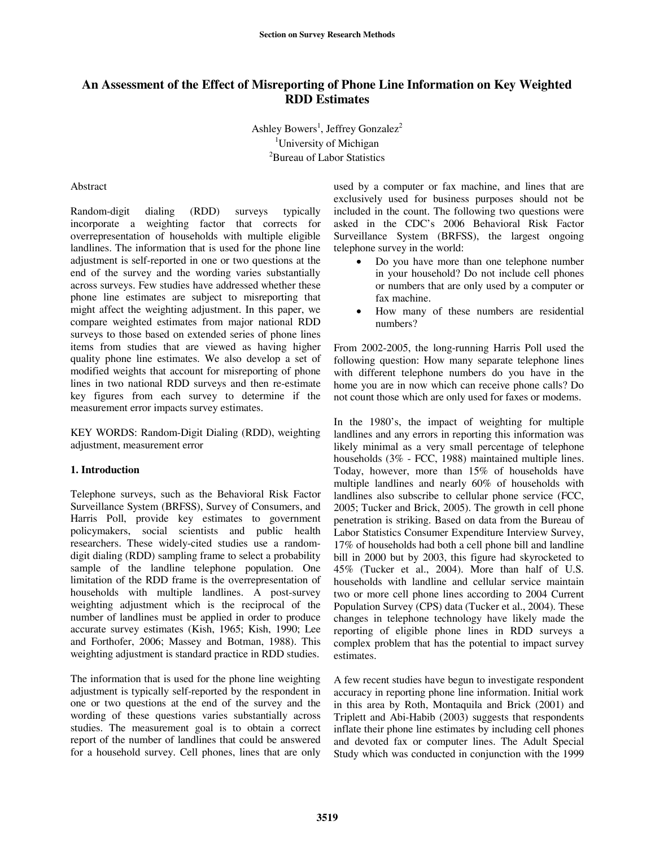# **An Assessment of the Effect of Misreporting of Phone Line Information on Key Weighted RDD Estimates**

Ashley Bowers<sup>1</sup>, Jeffrey Gonzalez<sup>2</sup> <sup>1</sup>University of Michigan <sup>2</sup>Bureau of Labor Statistics

#### Abstract

Random-digit dialing (RDD) surveys typically incorporate a weighting factor that corrects for overrepresentation of households with multiple eligible landlines. The information that is used for the phone line adjustment is self-reported in one or two questions at the end of the survey and the wording varies substantially across surveys. Few studies have addressed whether these phone line estimates are subject to misreporting that might affect the weighting adjustment. In this paper, we compare weighted estimates from major national RDD surveys to those based on extended series of phone lines items from studies that are viewed as having higher quality phone line estimates. We also develop a set of modified weights that account for misreporting of phone lines in two national RDD surveys and then re-estimate key figures from each survey to determine if the measurement error impacts survey estimates.

KEY WORDS: Random-Digit Dialing (RDD), weighting adjustment, measurement error

## **1. Introduction**

Telephone surveys, such as the Behavioral Risk Factor Surveillance System (BRFSS), Survey of Consumers, and Harris Poll, provide key estimates to government policymakers, social scientists and public health researchers. These widely-cited studies use a randomdigit dialing (RDD) sampling frame to select a probability sample of the landline telephone population. One limitation of the RDD frame is the overrepresentation of households with multiple landlines. A post-survey weighting adjustment which is the reciprocal of the number of landlines must be applied in order to produce accurate survey estimates (Kish, 1965; Kish, 1990; Lee and Forthofer, 2006; Massey and Botman, 1988). This weighting adjustment is standard practice in RDD studies.

The information that is used for the phone line weighting adjustment is typically self-reported by the respondent in one or two questions at the end of the survey and the wording of these questions varies substantially across studies. The measurement goal is to obtain a correct report of the number of landlines that could be answered for a household survey. Cell phones, lines that are only

used by a computer or fax machine, and lines that are exclusively used for business purposes should not be included in the count. The following two questions were asked in the CDC's 2006 Behavioral Risk Factor Surveillance System (BRFSS), the largest ongoing telephone survey in the world:

- Do you have more than one telephone number in your household? Do not include cell phones or numbers that are only used by a computer or fax machine.
- How many of these numbers are residential numbers?

From 2002-2005, the long-running Harris Poll used the following question: How many separate telephone lines with different telephone numbers do you have in the home you are in now which can receive phone calls? Do not count those which are only used for faxes or modems.

In the 1980's, the impact of weighting for multiple landlines and any errors in reporting this information was likely minimal as a very small percentage of telephone households (3% - FCC, 1988) maintained multiple lines. Today, however, more than 15% of households have multiple landlines and nearly 60% of households with landlines also subscribe to cellular phone service (FCC, 2005; Tucker and Brick, 2005). The growth in cell phone penetration is striking. Based on data from the Bureau of Labor Statistics Consumer Expenditure Interview Survey, 17% of households had both a cell phone bill and landline bill in 2000 but by 2003, this figure had skyrocketed to 45% (Tucker et al., 2004). More than half of U.S. households with landline and cellular service maintain two or more cell phone lines according to 2004 Current Population Survey (CPS) data (Tucker et al., 2004). These changes in telephone technology have likely made the reporting of eligible phone lines in RDD surveys a complex problem that has the potential to impact survey estimates.

A few recent studies have begun to investigate respondent accuracy in reporting phone line information. Initial work in this area by Roth, Montaquila and Brick (2001) and Triplett and Abi-Habib (2003) suggests that respondents inflate their phone line estimates by including cell phones and devoted fax or computer lines. The Adult Special Study which was conducted in conjunction with the 1999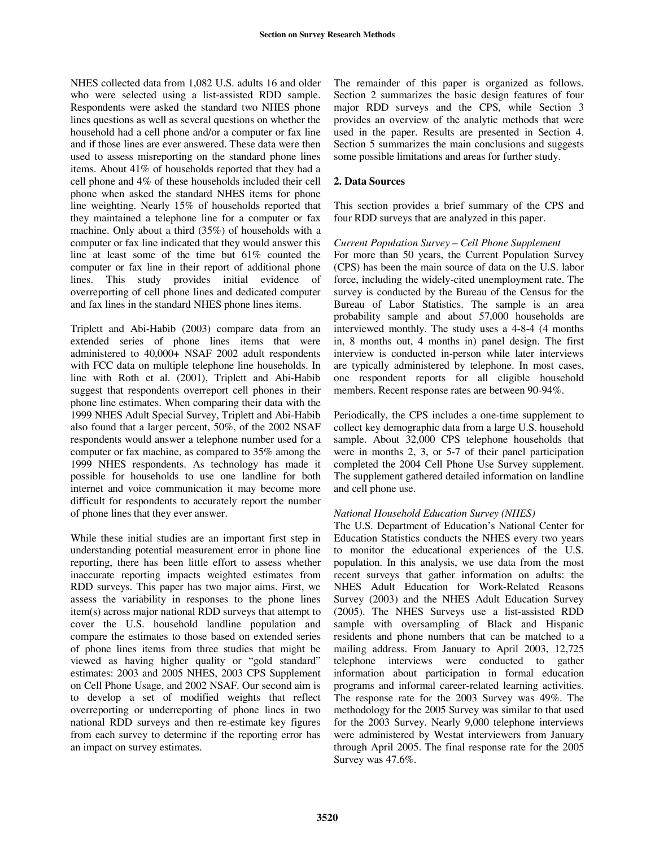NHES collected data from 1,082 U.S. adults 16 and older who were selected using a list-assisted RDD sample. Respondents were asked the standard two NHES phone lines questions as well as several questions on whether the household had a cell phone and/or a computer or fax line and if those lines are ever answered. These data were then used to assess misreporting on the standard phone lines items. About 41% of households reported that they had a cell phone and 4% of these households included their cell phone when asked the standard NHES items for phone line weighting. Nearly 15% of households reported that they maintained a telephone line for a computer or fax machine. Only about a third (35%) of households with a computer or fax line indicated that they would answer this line at least some of the time but 61% counted the computer or fax line in their report of additional phone lines. This study provides initial evidence of overreporting of cell phone lines and dedicated computer and fax lines in the standard NHES phone lines items.

Triplett and Abi-Habib (2003) compare data from an extended series of phone lines items that were administered to 40,000+ NSAF 2002 adult respondents with FCC data on multiple telephone line households. In line with Roth et al. (2001), Triplett and Abi-Habib suggest that respondents overreport cell phones in their phone line estimates. When comparing their data with the 1999 NHES Adult Special Survey, Triplett and Abi-Habib also found that a larger percent, 50%, of the 2002 NSAF respondents would answer a telephone number used for a computer or fax machine, as compared to 35% among the 1999 NHES respondents. As technology has made it possible for households to use one landline for both internet and voice communication it may become more difficult for respondents to accurately report the number of phone lines that they ever answer.

While these initial studies are an important first step in understanding potential measurement error in phone line reporting, there has been little effort to assess whether inaccurate reporting impacts weighted estimates from RDD surveys. This paper has two major aims. First, we assess the variability in responses to the phone lines item(s) across major national RDD surveys that attempt to cover the U.S. household landline population and compare the estimates to those based on extended series of phone lines items from three studies that might be viewed as having higher quality or "gold standard" estimates: 2003 and 2005 NHES, 2003 CPS Supplement on Cell Phone Usage, and 2002 NSAF. Our second aim is to develop a set of modified weights that reflect overreporting or underreporting of phone lines in two national RDD surveys and then re-estimate key figures from each survey to determine if the reporting error has an impact on survey estimates.

The remainder of this paper is organized as follows. Section 2 summarizes the basic design features of four major RDD surveys and the CPS, while Section 3 provides an overview of the analytic methods that were used in the paper. Results are presented in Section 4. Section 5 summarizes the main conclusions and suggests some possible limitations and areas for further study.

# **2. Data Sources**

This section provides a brief summary of the CPS and four RDD surveys that are analyzed in this paper.

## *Current Population Survey – Cell Phone Supplement*

For more than 50 years, the Current Population Survey (CPS) has been the main source of data on the U.S. labor force, including the widely-cited unemployment rate. The survey is conducted by the Bureau of the Census for the Bureau of Labor Statistics. The sample is an area probability sample and about 57,000 households are interviewed monthly. The study uses a 4-8-4 (4 months in, 8 months out, 4 months in) panel design. The first interview is conducted in-person while later interviews are typically administered by telephone. In most cases, one respondent reports for all eligible household members. Recent response rates are between 90-94%.

Periodically, the CPS includes a one-time supplement to collect key demographic data from a large U.S. household sample. About 32,000 CPS telephone households that were in months 2, 3, or 5-7 of their panel participation completed the 2004 Cell Phone Use Survey supplement. The supplement gathered detailed information on landline and cell phone use.

## *National Household Education Survey (NHES)*

The U.S. Department of Education's National Center for Education Statistics conducts the NHES every two years to monitor the educational experiences of the U.S. population. In this analysis, we use data from the most recent surveys that gather information on adults: the NHES Adult Education for Work-Related Reasons Survey (2003) and the NHES Adult Education Survey (2005). The NHES Surveys use a list-assisted RDD sample with oversampling of Black and Hispanic residents and phone numbers that can be matched to a mailing address. From January to April 2003, 12,725 telephone interviews were conducted to gather information about participation in formal education programs and informal career-related learning activities. The response rate for the 2003 Survey was 49%. The methodology for the 2005 Survey was similar to that used for the 2003 Survey. Nearly 9,000 telephone interviews were administered by Westat interviewers from January through April 2005. The final response rate for the 2005 Survey was 47.6%.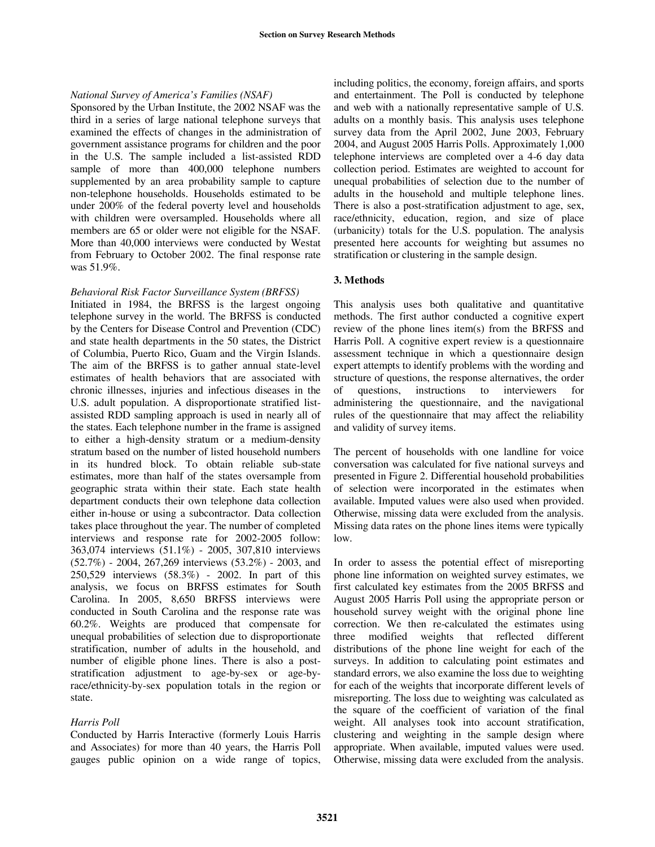#### *National Survey of Americaís Families (NSAF)*

Sponsored by the Urban Institute, the 2002 NSAF was the third in a series of large national telephone surveys that examined the effects of changes in the administration of government assistance programs for children and the poor in the U.S. The sample included a list-assisted RDD sample of more than 400,000 telephone numbers supplemented by an area probability sample to capture non-telephone households. Households estimated to be under 200% of the federal poverty level and households with children were oversampled. Households where all members are 65 or older were not eligible for the NSAF. More than 40,000 interviews were conducted by Westat from February to October 2002. The final response rate was 51.9%.

#### *Behavioral Risk Factor Surveillance System (BRFSS)*

Initiated in 1984, the BRFSS is the largest ongoing telephone survey in the world. The BRFSS is conducted by the Centers for Disease Control and Prevention (CDC) and state health departments in the 50 states, the District of Columbia, Puerto Rico, Guam and the Virgin Islands. The aim of the BRFSS is to gather annual state-level estimates of health behaviors that are associated with chronic illnesses, injuries and infectious diseases in the U.S. adult population. A disproportionate stratified listassisted RDD sampling approach is used in nearly all of the states. Each telephone number in the frame is assigned to either a high-density stratum or a medium-density stratum based on the number of listed household numbers in its hundred block. To obtain reliable sub-state estimates, more than half of the states oversample from geographic strata within their state. Each state health department conducts their own telephone data collection either in-house or using a subcontractor. Data collection takes place throughout the year. The number of completed interviews and response rate for 2002-2005 follow: 363,074 interviews (51.1%) - 2005, 307,810 interviews (52.7%) - 2004, 267,269 interviews (53.2%) - 2003, and 250,529 interviews (58.3%) - 2002. In part of this analysis, we focus on BRFSS estimates for South Carolina. In 2005, 8,650 BRFSS interviews were conducted in South Carolina and the response rate was 60.2%. Weights are produced that compensate for unequal probabilities of selection due to disproportionate stratification, number of adults in the household, and number of eligible phone lines. There is also a poststratification adjustment to age-by-sex or age-byrace/ethnicity-by-sex population totals in the region or state.

#### *Harris Poll*

Conducted by Harris Interactive (formerly Louis Harris and Associates) for more than 40 years, the Harris Poll gauges public opinion on a wide range of topics, including politics, the economy, foreign affairs, and sports and entertainment. The Poll is conducted by telephone and web with a nationally representative sample of U.S. adults on a monthly basis. This analysis uses telephone survey data from the April 2002, June 2003, February 2004, and August 2005 Harris Polls. Approximately 1,000 telephone interviews are completed over a 4-6 day data collection period. Estimates are weighted to account for unequal probabilities of selection due to the number of adults in the household and multiple telephone lines. There is also a post-stratification adjustment to age, sex, race/ethnicity, education, region, and size of place (urbanicity) totals for the U.S. population. The analysis presented here accounts for weighting but assumes no stratification or clustering in the sample design.

#### **3. Methods**

This analysis uses both qualitative and quantitative methods. The first author conducted a cognitive expert review of the phone lines item(s) from the BRFSS and Harris Poll. A cognitive expert review is a questionnaire assessment technique in which a questionnaire design expert attempts to identify problems with the wording and structure of questions, the response alternatives, the order of questions, instructions to interviewers for administering the questionnaire, and the navigational rules of the questionnaire that may affect the reliability and validity of survey items.

The percent of households with one landline for voice conversation was calculated for five national surveys and presented in Figure 2. Differential household probabilities of selection were incorporated in the estimates when available. Imputed values were also used when provided. Otherwise, missing data were excluded from the analysis. Missing data rates on the phone lines items were typically low.

In order to assess the potential effect of misreporting phone line information on weighted survey estimates, we first calculated key estimates from the 2005 BRFSS and August 2005 Harris Poll using the appropriate person or household survey weight with the original phone line correction. We then re-calculated the estimates using three modified weights that reflected different distributions of the phone line weight for each of the surveys. In addition to calculating point estimates and standard errors, we also examine the loss due to weighting for each of the weights that incorporate different levels of misreporting. The loss due to weighting was calculated as the square of the coefficient of variation of the final weight. All analyses took into account stratification, clustering and weighting in the sample design where appropriate. When available, imputed values were used. Otherwise, missing data were excluded from the analysis.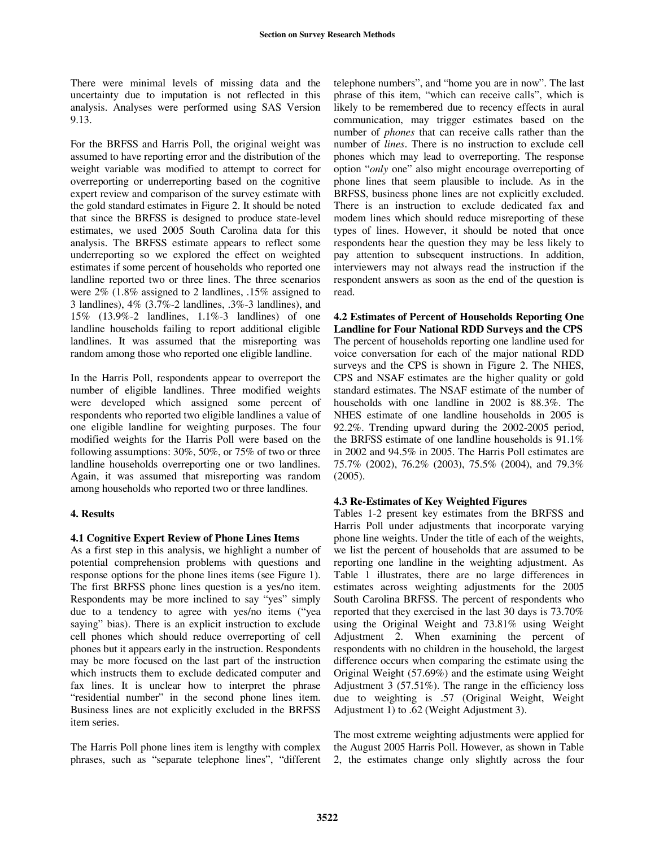There were minimal levels of missing data and the uncertainty due to imputation is not reflected in this analysis. Analyses were performed using SAS Version 9.13.

For the BRFSS and Harris Poll, the original weight was assumed to have reporting error and the distribution of the weight variable was modified to attempt to correct for overreporting or underreporting based on the cognitive expert review and comparison of the survey estimate with the gold standard estimates in Figure 2. It should be noted that since the BRFSS is designed to produce state-level estimates, we used 2005 South Carolina data for this analysis. The BRFSS estimate appears to reflect some underreporting so we explored the effect on weighted estimates if some percent of households who reported one landline reported two or three lines. The three scenarios were 2% (1.8% assigned to 2 landlines, .15% assigned to 3 landlines), 4% (3.7%-2 landlines, .3%-3 landlines), and 15% (13.9%-2 landlines, 1.1%-3 landlines) of one landline households failing to report additional eligible landlines. It was assumed that the misreporting was random among those who reported one eligible landline.

In the Harris Poll, respondents appear to overreport the number of eligible landlines. Three modified weights were developed which assigned some percent of respondents who reported two eligible landlines a value of one eligible landline for weighting purposes. The four modified weights for the Harris Poll were based on the following assumptions: 30%, 50%, or 75% of two or three landline households overreporting one or two landlines. Again, it was assumed that misreporting was random among households who reported two or three landlines.

## **4. Results**

#### **4.1 Cognitive Expert Review of Phone Lines Items**

As a first step in this analysis, we highlight a number of potential comprehension problems with questions and response options for the phone lines items (see Figure 1). The first BRFSS phone lines question is a yes/no item. Respondents may be more inclined to say "yes" simply due to a tendency to agree with yes/no items ("year saying" bias). There is an explicit instruction to exclude cell phones which should reduce overreporting of cell phones but it appears early in the instruction. Respondents may be more focused on the last part of the instruction which instructs them to exclude dedicated computer and fax lines. It is unclear how to interpret the phrase "residential number" in the second phone lines item. Business lines are not explicitly excluded in the BRFSS item series.

The Harris Poll phone lines item is lengthy with complex phrases, such as "separate telephone lines", "different

telephone numbers", and "home you are in now". The last phrase of this item, "which can receive calls", which is likely to be remembered due to recency effects in aural communication, may trigger estimates based on the number of *phones* that can receive calls rather than the number of *lines*. There is no instruction to exclude cell phones which may lead to overreporting. The response option "only one" also might encourage overreporting of phone lines that seem plausible to include. As in the BRFSS, business phone lines are not explicitly excluded. There is an instruction to exclude dedicated fax and modem lines which should reduce misreporting of these types of lines. However, it should be noted that once respondents hear the question they may be less likely to pay attention to subsequent instructions. In addition, interviewers may not always read the instruction if the respondent answers as soon as the end of the question is read.

**4.2 Estimates of Percent of Households Reporting One Landline for Four National RDD Surveys and the CPS**  The percent of households reporting one landline used for voice conversation for each of the major national RDD surveys and the CPS is shown in Figure 2. The NHES, CPS and NSAF estimates are the higher quality or gold standard estimates. The NSAF estimate of the number of households with one landline in 2002 is 88.3%. The NHES estimate of one landline households in 2005 is 92.2%. Trending upward during the 2002-2005 period, the BRFSS estimate of one landline households is 91.1% in 2002 and 94.5% in 2005. The Harris Poll estimates are 75.7% (2002), 76.2% (2003), 75.5% (2004), and 79.3% (2005).

#### **4.3 Re-Estimates of Key Weighted Figures**

Tables 1-2 present key estimates from the BRFSS and Harris Poll under adjustments that incorporate varying phone line weights. Under the title of each of the weights, we list the percent of households that are assumed to be reporting one landline in the weighting adjustment. As Table 1 illustrates, there are no large differences in estimates across weighting adjustments for the 2005 South Carolina BRFSS. The percent of respondents who reported that they exercised in the last 30 days is 73.70% using the Original Weight and 73.81% using Weight Adjustment 2. When examining the percent of respondents with no children in the household, the largest difference occurs when comparing the estimate using the Original Weight (57.69%) and the estimate using Weight Adjustment 3 (57.51%). The range in the efficiency loss due to weighting is .57 (Original Weight, Weight Adjustment 1) to .62 (Weight Adjustment 3).

The most extreme weighting adjustments were applied for the August 2005 Harris Poll. However, as shown in Table 2, the estimates change only slightly across the four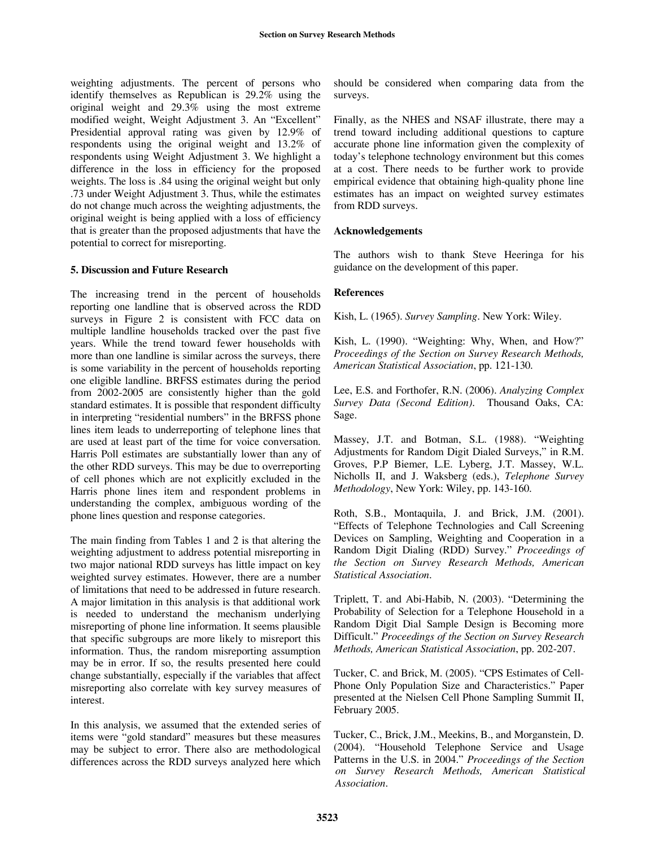weighting adjustments. The percent of persons who identify themselves as Republican is 29.2% using the original weight and 29.3% using the most extreme modified weight, Weight Adjustment 3. An "Excellent" Presidential approval rating was given by 12.9% of respondents using the original weight and 13.2% of respondents using Weight Adjustment 3. We highlight a difference in the loss in efficiency for the proposed weights. The loss is .84 using the original weight but only .73 under Weight Adjustment 3. Thus, while the estimates do not change much across the weighting adjustments, the original weight is being applied with a loss of efficiency that is greater than the proposed adjustments that have the potential to correct for misreporting.

### **5. Discussion and Future Research**

The increasing trend in the percent of households reporting one landline that is observed across the RDD surveys in Figure 2 is consistent with FCC data on multiple landline households tracked over the past five years. While the trend toward fewer households with more than one landline is similar across the surveys, there is some variability in the percent of households reporting one eligible landline. BRFSS estimates during the period from 2002-2005 are consistently higher than the gold standard estimates. It is possible that respondent difficulty in interpreting "residential numbers" in the BRFSS phone lines item leads to underreporting of telephone lines that are used at least part of the time for voice conversation. Harris Poll estimates are substantially lower than any of the other RDD surveys. This may be due to overreporting of cell phones which are not explicitly excluded in the Harris phone lines item and respondent problems in understanding the complex, ambiguous wording of the phone lines question and response categories.

The main finding from Tables 1 and 2 is that altering the weighting adjustment to address potential misreporting in two major national RDD surveys has little impact on key weighted survey estimates. However, there are a number of limitations that need to be addressed in future research. A major limitation in this analysis is that additional work is needed to understand the mechanism underlying misreporting of phone line information. It seems plausible that specific subgroups are more likely to misreport this information. Thus, the random misreporting assumption may be in error. If so, the results presented here could change substantially, especially if the variables that affect misreporting also correlate with key survey measures of interest.

In this analysis, we assumed that the extended series of items were "gold standard" measures but these measures may be subject to error. There also are methodological differences across the RDD surveys analyzed here which

should be considered when comparing data from the surveys.

Finally, as the NHES and NSAF illustrate, there may a trend toward including additional questions to capture accurate phone line information given the complexity of today's telephone technology environment but this comes at a cost. There needs to be further work to provide empirical evidence that obtaining high-quality phone line estimates has an impact on weighted survey estimates from RDD surveys.

### **Acknowledgements**

The authors wish to thank Steve Heeringa for his guidance on the development of this paper.

### **References**

Kish, L. (1965). *Survey Sampling*. New York: Wiley.

Kish, L. (1990). "Weighting: Why, When, and How?" *Proceedings of the Section on Survey Research Methods, American Statistical Association*, pp. 121-130.

Lee, E.S. and Forthofer, R.N. (2006). *Analyzing Complex Survey Data (Second Edition)*. Thousand Oaks, CA: Sage.

Massey, J.T. and Botman, S.L. (1988). "Weighting Adjustments for Random Digit Dialed Surveys," in R.M. Groves, P.P Biemer, L.E. Lyberg, J.T. Massey, W.L. Nicholls II, and J. Waksberg (eds.), *Telephone Survey Methodology*, New York: Wiley, pp. 143-160.

Roth, S.B., Montaquila, J. and Brick, J.M. (2001). ìEffects of Telephone Technologies and Call Screening Devices on Sampling, Weighting and Cooperation in a Random Digit Dialing (RDD) Survey.î *Proceedings of the Section on Survey Research Methods, American Statistical Association*.

Triplett, T. and Abi-Habib, N. (2003). "Determining the Probability of Selection for a Telephone Household in a Random Digit Dial Sample Design is Becoming more Difficult.î *Proceedings of the Section on Survey Research Methods, American Statistical Association*, pp. 202-207.

Tucker, C. and Brick, M. (2005). "CPS Estimates of Cell-Phone Only Population Size and Characteristics." Paper presented at the Nielsen Cell Phone Sampling Summit II, February 2005.

Tucker, C., Brick, J.M., Meekins, B., and Morganstein, D. (2004). "Household Telephone Service and Usage Patterns in the U.S. in 2004." *Proceedings of the Section on Survey Research Methods, American Statistical Association*.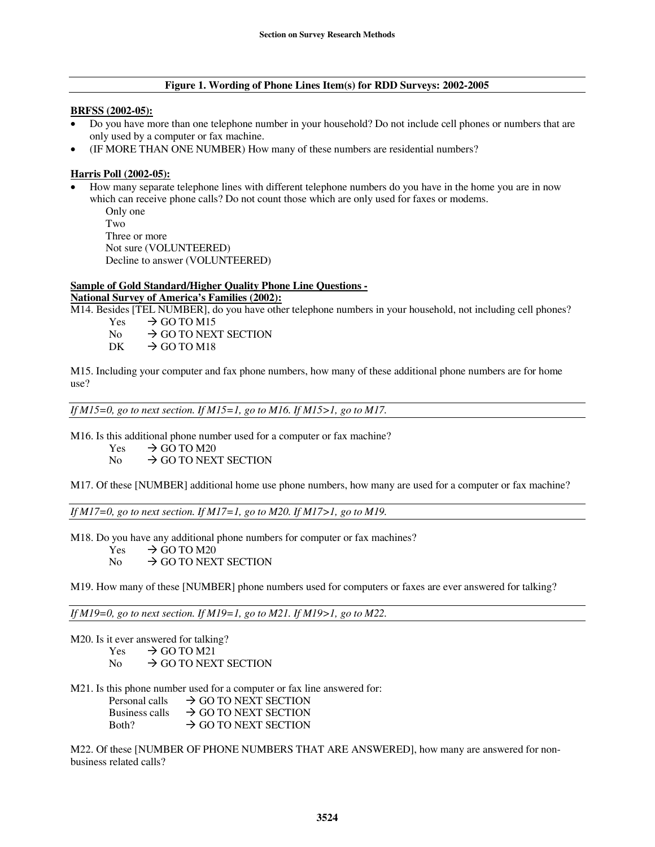#### **Figure 1. Wording of Phone Lines Item(s) for RDD Surveys: 2002-2005**

#### **BRFSS (2002-05):**

- Do you have more than one telephone number in your household? Do not include cell phones or numbers that are only used by a computer or fax machine.
- (IF MORE THAN ONE NUMBER) How many of these numbers are residential numbers?

### **Harris Poll (2002-05):**

• How many separate telephone lines with different telephone numbers do you have in the home you are in now which can receive phone calls? Do not count those which are only used for faxes or modems.

```
Only one 
Two 
Three or more 
Not sure (VOLUNTEERED) 
Decline to answer (VOLUNTEERED)
```
### **Sample of Gold Standard/Higher Quality Phone Line Questions -**

# **National Survey of America's Families (2002):**

M14. Besides [TEL NUMBER], do you have other telephone numbers in your household, not including cell phones?

- Yes  $\rightarrow$  GO TO M15<br>No  $\rightarrow$  GO TO NEX
- No  $\rightarrow$  GO TO NEXT SECTION<br>DK  $\rightarrow$  GO TO M18
- $\rightarrow$  GO TO M18

M15. Including your computer and fax phone numbers, how many of these additional phone numbers are for home use?

*If M15=0, go to next section. If M15=1, go to M16. If M15>1, go to M17.* 

M16. Is this additional phone number used for a computer or fax machine?

Yes  $\rightarrow$  GO TO M20<br>No  $\rightarrow$  GO TO NEX

 $\rightarrow$  GO TO NEXT SECTION

M17. Of these [NUMBER] additional home use phone numbers, how many are used for a computer or fax machine?

*If M17=0, go to next section. If M17=1, go to M20. If M17>1, go to M19.* 

M18. Do you have any additional phone numbers for computer or fax machines?

- Yes  $\rightarrow$  GO TO M20<br>No  $\rightarrow$  GO TO NEX
- $\rightarrow$  GO TO NEXT SECTION

M19. How many of these [NUMBER] phone numbers used for computers or faxes are ever answered for talking?

*If M19=0, go to next section. If M19=1, go to M21. If M19>1, go to M22.* 

- M20. Is it ever answered for talking?
	- Yes  $\rightarrow$  GO TO M21<br>No  $\rightarrow$  GO TO NEX
	- $\rightarrow$  GO TO NEXT SECTION
- M21. Is this phone number used for a computer or fax line answered for:
	- Personal calls  $\rightarrow$  GO TO NEXT SECTION Business calls  $\rightarrow$  GO TO NEXT SECTION<br>Both?  $\rightarrow$  GO TO NEXT SECTION  $\rightarrow$  GO TO NEXT SECTION

M22. Of these [NUMBER OF PHONE NUMBERS THAT ARE ANSWERED], how many are answered for nonbusiness related calls?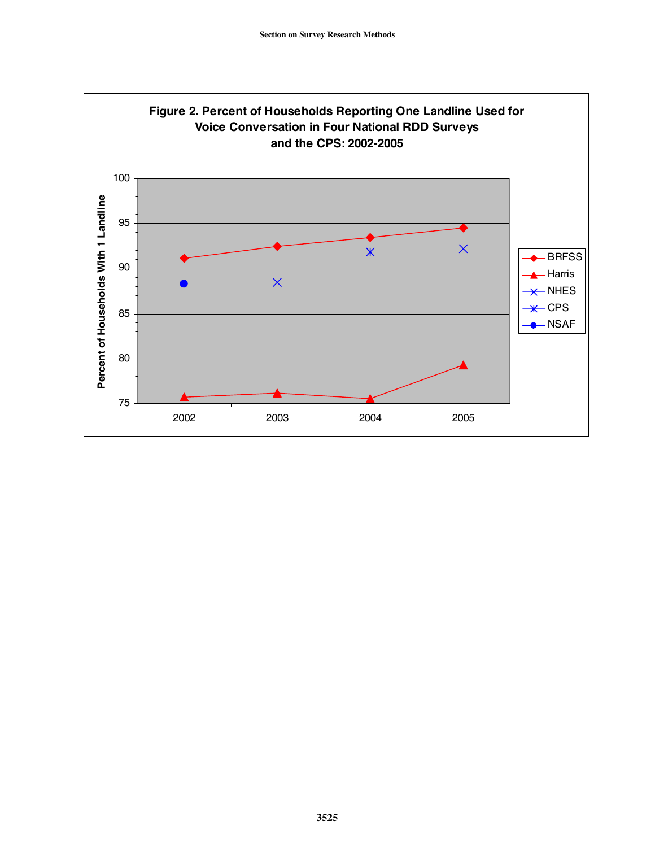